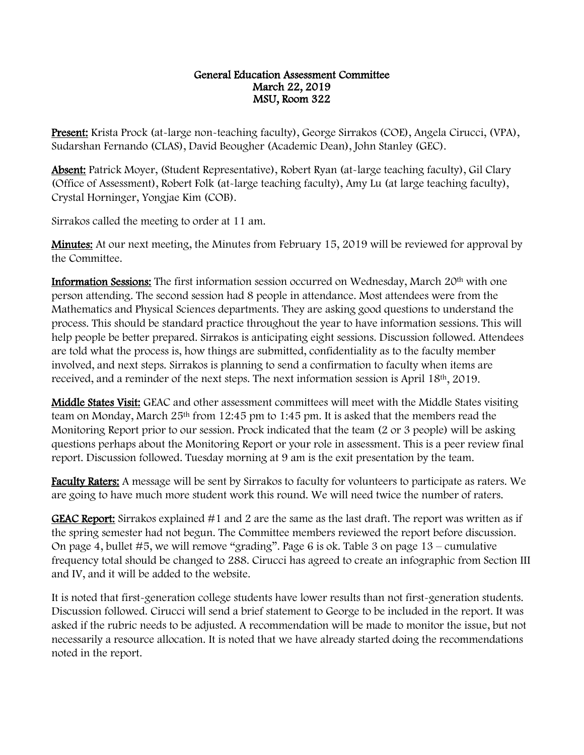## General Education Assessment Committee March 22, 2019 MSU, Room 322

Present: Krista Prock (at-large non-teaching faculty), George Sirrakos (COE), Angela Cirucci, (VPA), Sudarshan Fernando (CLAS), David Beougher (Academic Dean), John Stanley (GEC).

Absent: Patrick Moyer, (Student Representative), Robert Ryan (at-large teaching faculty), Gil Clary (Office of Assessment), Robert Folk (at-large teaching faculty), Amy Lu (at large teaching faculty), Crystal Horninger, Yongjae Kim (COB).

Sirrakos called the meeting to order at 11 am.

**Minutes:** At our next meeting, the Minutes from February 15, 2019 will be reviewed for approval by the Committee.

Information Sessions: The first information session occurred on Wednesday, March 20<sup>th</sup> with one person attending. The second session had 8 people in attendance. Most attendees were from the Mathematics and Physical Sciences departments. They are asking good questions to understand the process. This should be standard practice throughout the year to have information sessions. This will help people be better prepared. Sirrakos is anticipating eight sessions. Discussion followed. Attendees are told what the process is, how things are submitted, confidentiality as to the faculty member involved, and next steps. Sirrakos is planning to send a confirmation to faculty when items are received, and a reminder of the next steps. The next information session is April 18th, 2019.

Middle States Visit: GEAC and other assessment committees will meet with the Middle States visiting team on Monday, March 25th from 12:45 pm to 1:45 pm. It is asked that the members read the Monitoring Report prior to our session. Prock indicated that the team (2 or 3 people) will be asking questions perhaps about the Monitoring Report or your role in assessment. This is a peer review final report. Discussion followed. Tuesday morning at 9 am is the exit presentation by the team.

Faculty Raters: A message will be sent by Sirrakos to faculty for volunteers to participate as raters. We are going to have much more student work this round. We will need twice the number of raters.

GEAC Report: Sirrakos explained #1 and 2 are the same as the last draft. The report was written as if the spring semester had not begun. The Committee members reviewed the report before discussion. On page 4, bullet #5, we will remove "grading". Page 6 is ok. Table 3 on page 13 – cumulative frequency total should be changed to 288. Cirucci has agreed to create an infographic from Section III and IV, and it will be added to the website.

It is noted that first-generation college students have lower results than not first-generation students. Discussion followed. Cirucci will send a brief statement to George to be included in the report. It was asked if the rubric needs to be adjusted. A recommendation will be made to monitor the issue, but not necessarily a resource allocation. It is noted that we have already started doing the recommendations noted in the report.